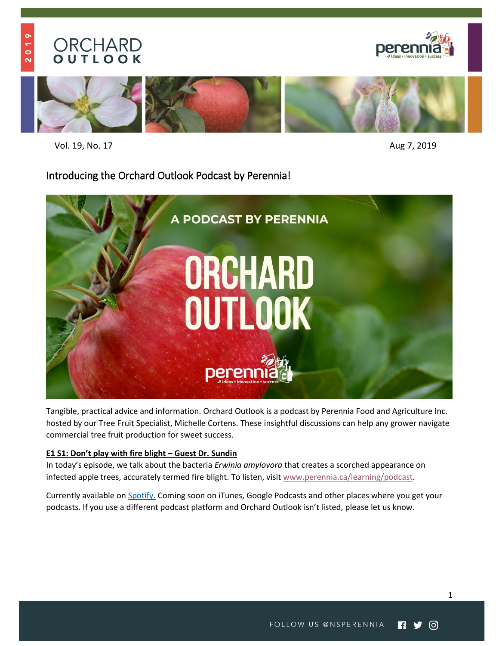# **ORCHARD**<br> **OUTLOOK**





Vol. 19, No. 17 Aug 7, 2019

# Introducing the Orchard Outlook Podcast by Perennia!



Tangible, practical advice and information. Orchard Outlook is a podcast by Perennia Food and Agriculture Inc. hosted by our [Tree Fruit Specialist, Michelle Cortens.](https://www.perennia.ca/portfolio-items/michelle-cortens/) These insightful discussions can help any grower navigate commercial tree fruit production for sweet success.

#### **E1 S1: [Don't play with fire b](https://www.perennia.ca/learning/podcast/)light – Guest Dr. Sundin**

In today's episode, we talk about the bacteria *Erwinia amylovora* that creates a scorched appearance on infected apple trees, accurately termed fire blight. To listen, visi[t www.perennia.ca/learning/podcast.](http://www.perennia.ca/learning/podcast)

Currently available on [Spotify.](https://anchor.fm/orchard-outlook/episodes/Dont-Play-with-Fire-Blight-e4qsd8/a-ak39ut) Coming soon on iTunes, Google Podcasts and other places where you get your podcasts. If you use a different podcast platform and Orchard Outlook isn't listed, please let us know.